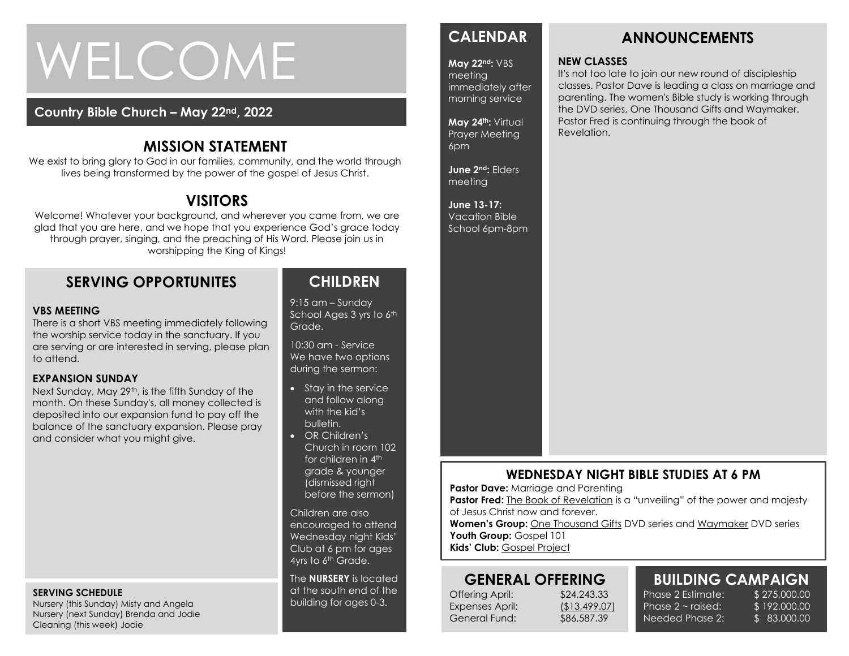# WELCOME

#### **Country Bible Church – May 22nd, 2022**

#### **MISSION STATEMENT**

We exist to bring glory to God in our families, community, and the world through lives being transformed by the power of the gospel of Jesus Christ.

## **VISITORS**

Welcome! Whatever your background, and wherever you came from, we are glad that you are here, and we hope that you experience God's grace today through prayer, singing, and the preaching of His Word. Please join us in worshipping the King of Kings!

#### **SERVING OPPORTUNITES**

#### **VBS MEETING**

There is a short VBS meeting immediately following the worship service today in the sanctuary. If you are serving or are interested in serving, please plan to attend.

#### **EXPANSION SUNDAY**

**EXPANSION SUNDAY**<br>Next Sunday, May 29<sup>th</sup>, is the fifth Sunday of the month. On these Sunday's, all money collected is deposited into our expansion fund to pay off the balance of the sanctuary expansion. Please pray and consider what you might give.

#### **SERVING SCHEDULE**

Nursery (this Sunday) Misty and Angela Nursery (next Sunday) Brenda and Jodie Cleaning (this week) Jodie

#### **CHILDREN**

9:15 am – Sunday School Ages 3 yrs to 6th Grade.

10:30 am - Service We have two options during the sermon:

- Stay in the service and follow along with the kid's bulletin.
- OR Children's Church in room 102 for children in 4<sup>th</sup> grade & younger (dismissed right before the sermon)

Children are also encouraged to attend Wednesday night Kids' Club at 6 pm for ages 4yrs to 6<sup>th</sup> Grade.

The **NURSERY** is located at the south end of the building for ages 0-3.

### **CALENDAR**

#### **May 22nd:** VBS

meeting immediately after morning service

**May 24th:** Virtual Prayer Meeting 6pm

**June 2nd:** Elders meeting

**June 13-17:**  Vacation Bible School 6pm-8pm

# **NEW CLASSES**

It's not too late to join our new round of discipleship classes. Pastor Dave is leading a class on marriage and parenting. The women's Bible study is working through the DVD series, One Thousand Gifts and Waymaker. Pastor Fred is continuing through the book of Revelation.

**ANNOUNCEMENTS**

#### **WEDNESDAY NIGHT BIBLE STUDIES AT 6 PM**

**Pastor Dave: Marriage and Parenting** 

**Pastor Fred:** The Book of Revelation is a "unveiling" of the power and majesty of Jesus Christ now and forever.

**Women's Group:** One Thousand Gifts DVD series and Waymaker DVD series Youth Group: Gospel 101

**Kids' Club:** Gospel Project

#### **GENERAL OFFERING**

Offering April: \$24,243.33 Expenses April: (\$13,499.07) General Fund: \$86,587.39

# **BUILDING CAMPAIGN**

Phase 2 Estimate: \$275,000.00 Phase  $2 \sim$  raised: Needed Phase 2:

\$ 192,000.00 \$ 83,000.00